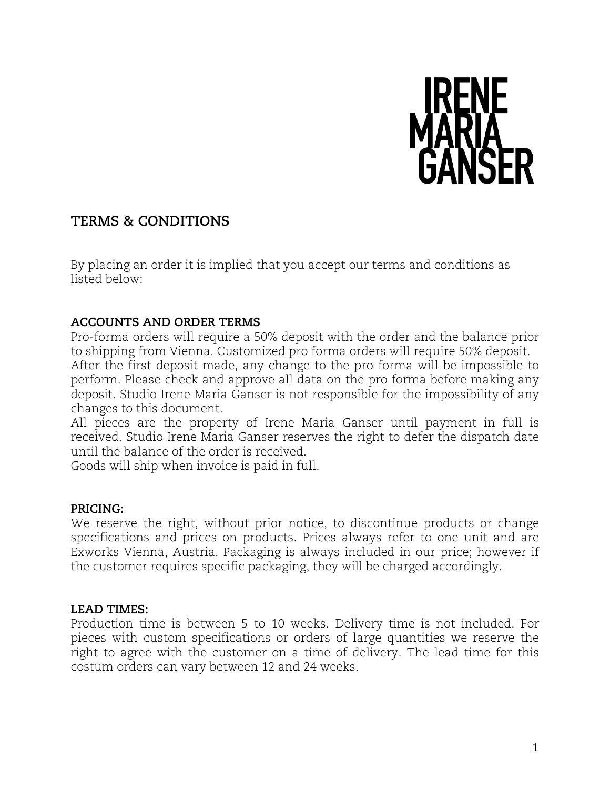

# **TERMS & CONDITIONS**

By placing an order it is implied that you accept our terms and conditions as listed below:

### **ACCOUNTS AND ORDER TERMS**

Pro-forma orders will require a 50% deposit with the order and the balance prior to shipping from Vienna. Customized pro forma orders will require 50% deposit.

After the first deposit made, any change to the pro forma will be impossible to perform. Please check and approve all data on the pro forma before making any deposit. Studio Irene Maria Ganser is not responsible for the impossibility of any changes to this document.

All pieces are the property of Irene Maria Ganser until payment in full is received. Studio Irene Maria Ganser reserves the right to defer the dispatch date until the balance of the order is received.

Goods will ship when invoice is paid in full.

#### **PRICING:**

We reserve the right, without prior notice, to discontinue products or change specifications and prices on products. Prices always refer to one unit and are Exworks Vienna, Austria. Packaging is always included in our price; however if the customer requires specific packaging, they will be charged accordingly.

### **LEAD TIMES:**

Production time is between 5 to 10 weeks. Delivery time is not included. For pieces with custom specifications or orders of large quantities we reserve the right to agree with the customer on a time of delivery. The lead time for this costum orders can vary between 12 and 24 weeks.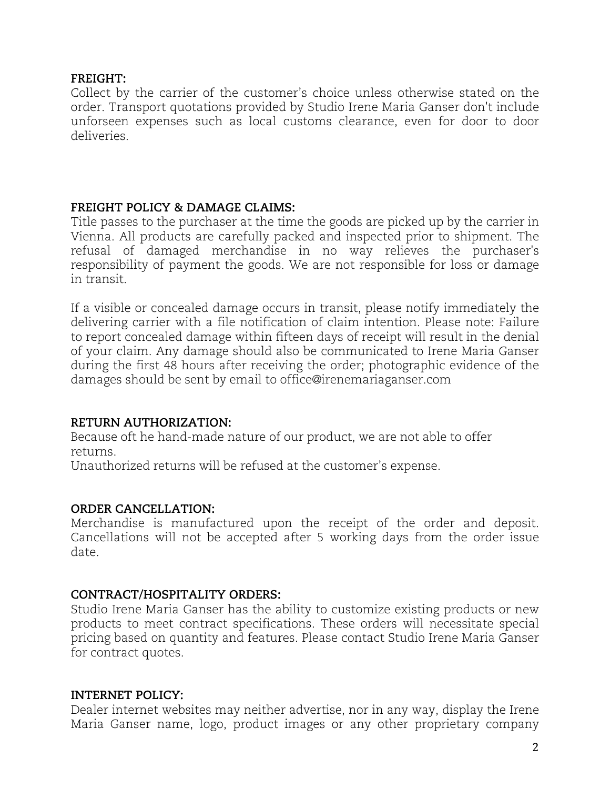#### **FREIGHT:**

Collect by the carrier of the customer's choice unless otherwise stated on the order. Transport quotations provided by Studio Irene Maria Ganser don't include unforseen expenses such as local customs clearance, even for door to door deliveries.

### **FREIGHT POLICY & DAMAGE CLAIMS:**

Title passes to the purchaser at the time the goods are picked up by the carrier in Vienna. All products are carefully packed and inspected prior to shipment. The refusal of damaged merchandise in no way relieves the purchaser's responsibility of payment the goods. We are not responsible for loss or damage in transit.

If a visible or concealed damage occurs in transit, please notify immediately the delivering carrier with a file notification of claim intention. Please note: Failure to report concealed damage within fifteen days of receipt will result in the denial of your claim. Any damage should also be communicated to Irene Maria Ganser during the first 48 hours after receiving the order; photographic evidence of the damages should be sent by email to office@irenemariaganser.com

### **RETURN AUTHORIZATION:**

Because oft he hand-made nature of our product, we are not able to offer returns.

Unauthorized returns will be refused at the customer's expense.

# **ORDER CANCELLATION:**

Merchandise is manufactured upon the receipt of the order and deposit. Cancellations will not be accepted after 5 working days from the order issue date.

### **CONTRACT/HOSPITALITY ORDERS:**

Studio Irene Maria Ganser has the ability to customize existing products or new products to meet contract specifications. These orders will necessitate special pricing based on quantity and features. Please contact Studio Irene Maria Ganser for contract quotes.

# **INTERNET POLICY:**

Dealer internet websites may neither advertise, nor in any way, display the Irene Maria Ganser name, logo, product images or any other proprietary company